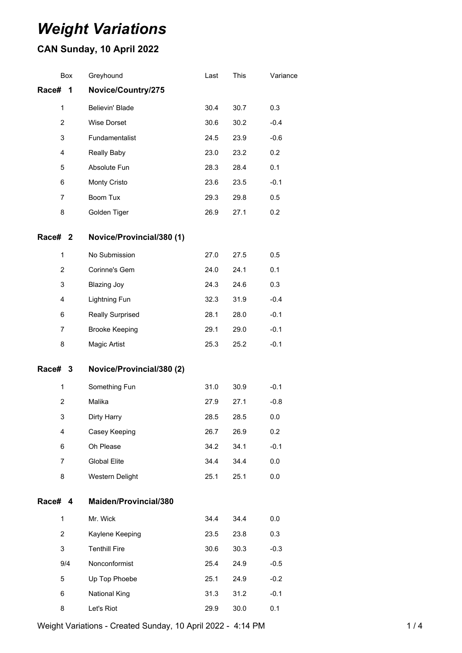# *Weight Variations*

## **CAN Sunday, 10 April 2022**

| Box            | Greyhound                 | Last | This | Variance |
|----------------|---------------------------|------|------|----------|
| Race#<br>1     | Novice/Country/275        |      |      |          |
| 1              | Believin' Blade           | 30.4 | 30.7 | 0.3      |
| $\overline{2}$ | <b>Wise Dorset</b>        | 30.6 | 30.2 | $-0.4$   |
| 3              | Fundamentalist            | 24.5 | 23.9 | $-0.6$   |
| $\overline{4}$ | <b>Really Baby</b>        | 23.0 | 23.2 | 0.2      |
| 5              | Absolute Fun              | 28.3 | 28.4 | 0.1      |
| 6              | Monty Cristo              | 23.6 | 23.5 | $-0.1$   |
| 7              | <b>Boom Tux</b>           | 29.3 | 29.8 | 0.5      |
| 8              | Golden Tiger              | 26.9 | 27.1 | 0.2      |
| Race# 2        | Novice/Provincial/380 (1) |      |      |          |
| $\mathbf{1}$   | No Submission             | 27.0 | 27.5 | 0.5      |
| $\overline{2}$ | Corinne's Gem             | 24.0 | 24.1 | 0.1      |
| 3              | <b>Blazing Joy</b>        | 24.3 | 24.6 | 0.3      |
| $\overline{4}$ | <b>Lightning Fun</b>      | 32.3 | 31.9 | $-0.4$   |
| 6              | <b>Really Surprised</b>   | 28.1 | 28.0 | $-0.1$   |
| $\overline{7}$ | <b>Brooke Keeping</b>     | 29.1 | 29.0 | $-0.1$   |
| 8              | Magic Artist              | 25.3 | 25.2 | $-0.1$   |
| Race# 3        | Novice/Provincial/380 (2) |      |      |          |
| 1              | Something Fun             | 31.0 | 30.9 | $-0.1$   |
| $\overline{2}$ | Malika                    | 27.9 | 27.1 | $-0.8$   |
| 3              | Dirty Harry               | 28.5 | 28.5 | 0.0      |
| 4              | Casey Keeping             | 26.7 | 26.9 | 0.2      |
| 6              | Oh Please                 | 34.2 | 34.1 | $-0.1$   |
| $\overline{7}$ | <b>Global Elite</b>       | 34.4 | 34.4 | 0.0      |
| 8              | Western Delight           | 25.1 | 25.1 | 0.0      |
| Race# 4        | Maiden/Provincial/380     |      |      |          |
| $\mathbf{1}$   | Mr. Wick                  | 34.4 | 34.4 | 0.0      |
| $\overline{2}$ | Kaylene Keeping           | 23.5 | 23.8 | 0.3      |
| 3              | <b>Tenthill Fire</b>      | 30.6 | 30.3 | $-0.3$   |
| 9/4            | Nonconformist             | 25.4 | 24.9 | $-0.5$   |
| 5              | Up Top Phoebe             | 25.1 | 24.9 | $-0.2$   |
| 6              | <b>National King</b>      | 31.3 | 31.2 | $-0.1$   |
| 8              | Let's Riot                | 29.9 | 30.0 | 0.1      |

Weight Variations - Created Sunday, 10 April 2022 - 4:14 PM 1 / 4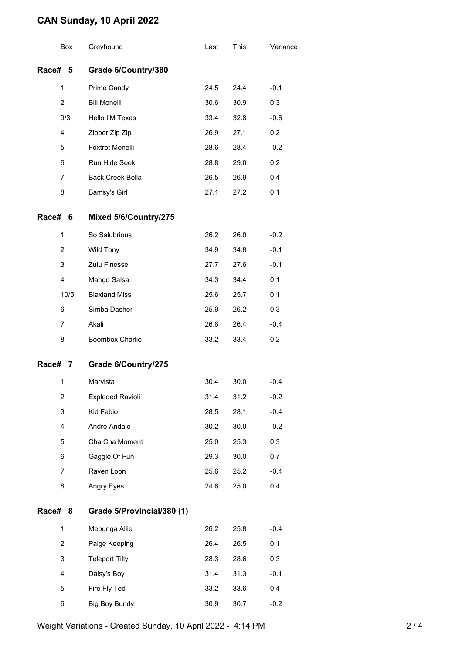### **CAN Sunday, 10 April 2022**

|         | Box              | Greyhound                  | Last | This | Variance |
|---------|------------------|----------------------------|------|------|----------|
| Race# 5 |                  | Grade 6/Country/380        |      |      |          |
|         | 1                | Prime Candy                | 24.5 | 24.4 | $-0.1$   |
|         | $\overline{2}$   | <b>Bill Monelli</b>        | 30.6 | 30.9 | 0.3      |
|         | 9/3              | Hello I'M Texas            | 33.4 | 32.8 | $-0.6$   |
|         | 4                | Zipper Zip Zip             | 26.9 | 27.1 | 0.2      |
|         | 5                | <b>Foxtrot Monelli</b>     | 28.6 | 28.4 | $-0.2$   |
|         | 6                | Run Hide Seek              | 28.8 | 29.0 | 0.2      |
|         | 7                | <b>Back Creek Bella</b>    | 26.5 | 26.9 | 0.4      |
|         | 8                | Bamsy's Girl               | 27.1 | 27.2 | 0.1      |
| Race#   | 6                | Mixed 5/6/Country/275      |      |      |          |
|         | 1                | So Salubrious              | 26.2 | 26.0 | $-0.2$   |
|         | 2                | Wild Tony                  | 34.9 | 34.8 | $-0.1$   |
|         | 3                | Zulu Finesse               | 27.7 | 27.6 | $-0.1$   |
|         | 4                | Mango Salsa                | 34.3 | 34.4 | 0.1      |
|         | 10/5             | <b>Blaxland Miss</b>       | 25.6 | 25.7 | 0.1      |
|         | 6                | Simba Dasher               | 25.9 | 26.2 | 0.3      |
|         | $\overline{7}$   | Akali                      | 26.8 | 26.4 | $-0.4$   |
|         | 8                | <b>Boombox Charlie</b>     | 33.2 | 33.4 | 0.2      |
| Race# 7 |                  | Grade 6/Country/275        |      |      |          |
|         | 1                | Marvista                   | 30.4 | 30.0 | -0.4     |
|         | 2                | <b>Exploded Ravioli</b>    | 31.4 | 31.2 | $-0.2$   |
|         | 3                | Kid Fabio                  | 28.5 | 28.1 | $-0.4$   |
|         | 4                | Andre Andale               | 30.2 | 30.0 | $-0.2$   |
|         | 5                | Cha Cha Moment             | 25.0 | 25.3 | 0.3      |
|         | 6                | Gaggle Of Fun              | 29.3 | 30.0 | 0.7      |
|         | $\overline{7}$   | Raven Loon                 | 25.6 | 25.2 | $-0.4$   |
|         | 8                | Angry Eyes                 | 24.6 | 25.0 | 0.4      |
| Race#   | 8                | Grade 5/Provincial/380 (1) |      |      |          |
|         | 1                | Mepunga Allie              | 26.2 | 25.8 | $-0.4$   |
|         | $\boldsymbol{2}$ | Paige Keeping              | 26.4 | 26.5 | 0.1      |
|         | 3                | <b>Teleport Tilly</b>      | 28.3 | 28.6 | 0.3      |
|         | 4                | Daisy's Boy                | 31.4 | 31.3 | $-0.1$   |
|         | 5                | Fire Fly Ted               | 33.2 | 33.6 | 0.4      |
|         | 6                | Big Boy Bundy              | 30.9 | 30.7 | $-0.2$   |

Weight Variations - Created Sunday, 10 April 2022 - 4:14 PM 2/4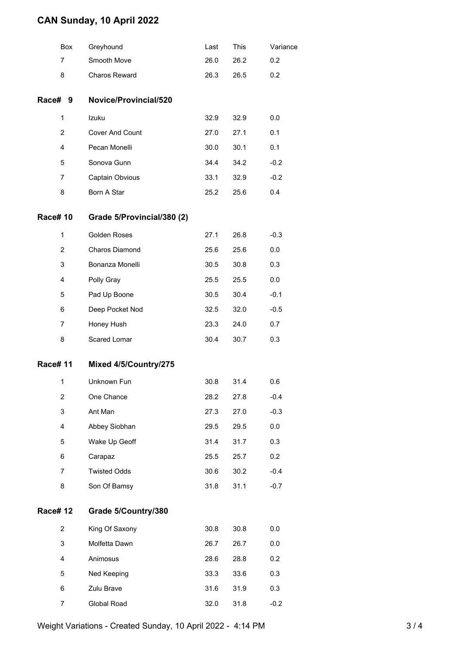### **CAN Sunday, 10 April 2022**

|                | <b>Box</b> | Greyhound                  | Last | This | Variance |
|----------------|------------|----------------------------|------|------|----------|
| 7              |            | Smooth Move                | 26.0 | 26.2 | 0.2      |
| 8              |            | Charos Reward              | 26.3 | 26.5 | 0.2      |
| Race# 9        |            | Novice/Provincial/520      |      |      |          |
| 1              |            | Izuku                      | 32.9 | 32.9 | 0.0      |
| 2              |            | Cover And Count            | 27.0 | 27.1 | 0.1      |
| 4              |            | Pecan Monelli              | 30.0 | 30.1 | 0.1      |
| 5              |            | Sonova Gunn                | 34.4 | 34.2 | $-0.2$   |
| 7              |            | Captain Obvious            | 33.1 | 32.9 | $-0.2$   |
| 8              |            | Born A Star                | 25.2 | 25.6 | 0.4      |
| <b>Race#10</b> |            | Grade 5/Provincial/380 (2) |      |      |          |
| 1              |            | Golden Roses               | 27.1 | 26.8 | $-0.3$   |
| 2              |            | Charos Diamond             | 25.6 | 25.6 | 0.0      |
| 3              |            | Bonanza Monelli            | 30.5 | 30.8 | 0.3      |
| 4              |            | Polly Gray                 | 25.5 | 25.5 | 0.0      |
| 5              |            | Pad Up Boone               | 30.5 | 30.4 | $-0.1$   |
| 6              |            | Deep Pocket Nod            | 32.5 | 32.0 | $-0.5$   |
| 7              |            | Honey Hush                 | 23.3 | 24.0 | 0.7      |
| 8              |            | Scared Lomar               | 30.4 | 30.7 | 0.3      |
| <b>Race#11</b> |            | Mixed 4/5/Country/275      |      |      |          |
| 1              |            | Unknown Fun                | 30.8 | 31.4 | 0.6      |
| 2              |            | One Chance                 | 28.2 | 27.8 | $-0.4$   |
| 3              |            | Ant Man                    | 27.3 | 27.0 | $-0.3$   |
| 4              |            | Abbey Siobhan              | 29.5 | 29.5 | 0.0      |
| 5              |            | Wake Up Geoff              | 31.4 | 31.7 | 0.3      |
| 6              |            | Carapaz                    | 25.5 | 25.7 | 0.2      |
| 7              |            | <b>Twisted Odds</b>        | 30.6 | 30.2 | $-0.4$   |
| 8              |            | Son Of Bamsy               | 31.8 | 31.1 | $-0.7$   |
| <b>Race#12</b> |            | Grade 5/Country/380        |      |      |          |
| 2              |            | King Of Saxony             | 30.8 | 30.8 | 0.0      |
| 3              |            | Molfetta Dawn              | 26.7 | 26.7 | 0.0      |
| 4              |            | Animosus                   | 28.6 | 28.8 | 0.2      |
| 5              |            | Ned Keeping                | 33.3 | 33.6 | 0.3      |
| 6              |            | Zulu Brave                 | 31.6 | 31.9 | 0.3      |
| $\overline{7}$ |            | Global Road                | 32.0 | 31.8 | $-0.2$   |